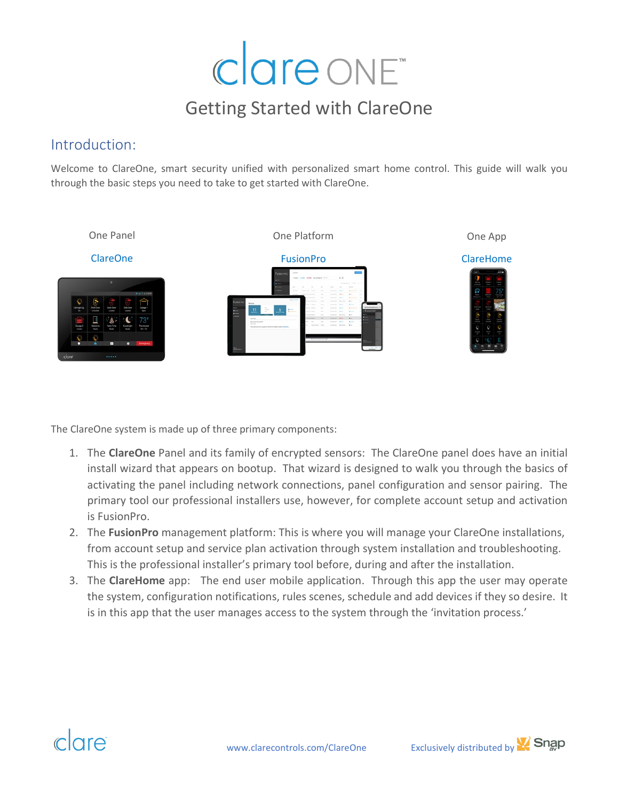# clare ONE

### Getting Started with ClareOne

#### Introduction:

Welcome to ClareOne, smart security unified with personalized smart home control. This guide will walk you through the basic steps you need to take to get started with ClareOne.



The ClareOne system is made up of three primary components:

- 1. The **ClareOne** Panel and its family of encrypted sensors: The ClareOne panel does have an initial install wizard that appears on bootup. That wizard is designed to walk you through the basics of activating the panel including network connections, panel configuration and sensor pairing. The primary tool our professional installers use, however, for complete account setup and activation is FusionPro.
- 2. The **FusionPro** management platform: This is where you will manage your ClareOne installations, from account setup and service plan activation through system installation and troubleshooting. This is the professional installer's primary tool before, during and after the installation.
- 3. The **ClareHome** app: The end user mobile application. Through this app the user may operate the system, configuration notifications, rules scenes, schedule and add devices if they so desire. It is in this app that the user manages access to the system through the 'invitation process.'



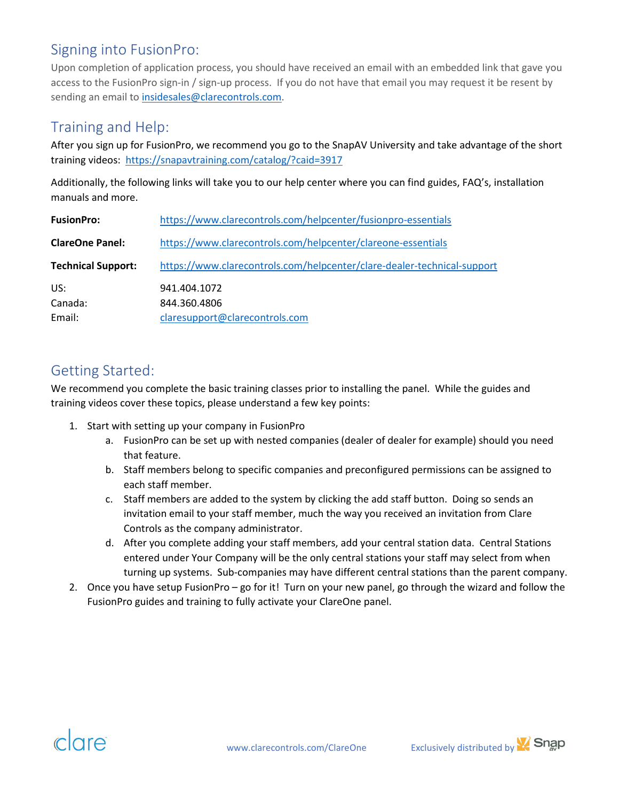#### Signing into FusionPro:

Upon completion of application process, you should have received an email with an embedded link that gave you access to the FusionPro sign-in / sign-up process. If you do not have that email you may request it be resent by sending an email to [insidesales@clarecontrols.com.](mailto:insidesales@clarecontrols.com)

#### Training and Help:

After you sign up for FusionPro, we recommend you go to the SnapAV University and take advantage of the short training videos: <https://snapavtraining.com/catalog/?caid=3917>

Additionally, the following links will take you to our help center where you can find guides, FAQ's, installation manuals and more.

| <b>FusionPro:</b>         | https://www.clarecontrols.com/helpcenter/fusionpro-essentials           |
|---------------------------|-------------------------------------------------------------------------|
| <b>ClareOne Panel:</b>    | https://www.clarecontrols.com/helpcenter/clareone-essentials            |
| <b>Technical Support:</b> | https://www.clarecontrols.com/helpcenter/clare-dealer-technical-support |
| US:                       | 941.404.1072                                                            |
| Canada:                   | 844.360.4806                                                            |
| Email:                    | claresupport@clarecontrols.com                                          |

#### Getting Started:

We recommend you complete the basic training classes prior to installing the panel. While the guides and training videos cover these topics, please understand a few key points:

- 1. Start with setting up your company in FusionPro
	- a. FusionPro can be set up with nested companies (dealer of dealer for example) should you need that feature.
	- b. Staff members belong to specific companies and preconfigured permissions can be assigned to each staff member.
	- c. Staff members are added to the system by clicking the add staff button. Doing so sends an invitation email to your staff member, much the way you received an invitation from Clare Controls as the company administrator.
	- d. After you complete adding your staff members, add your central station data. Central Stations entered under Your Company will be the only central stations your staff may select from when turning up systems. Sub-companies may have different central stations than the parent company.
- 2. Once you have setup FusionPro go for it! Turn on your new panel, go through the wizard and follow the FusionPro guides and training to fully activate your ClareOne panel.



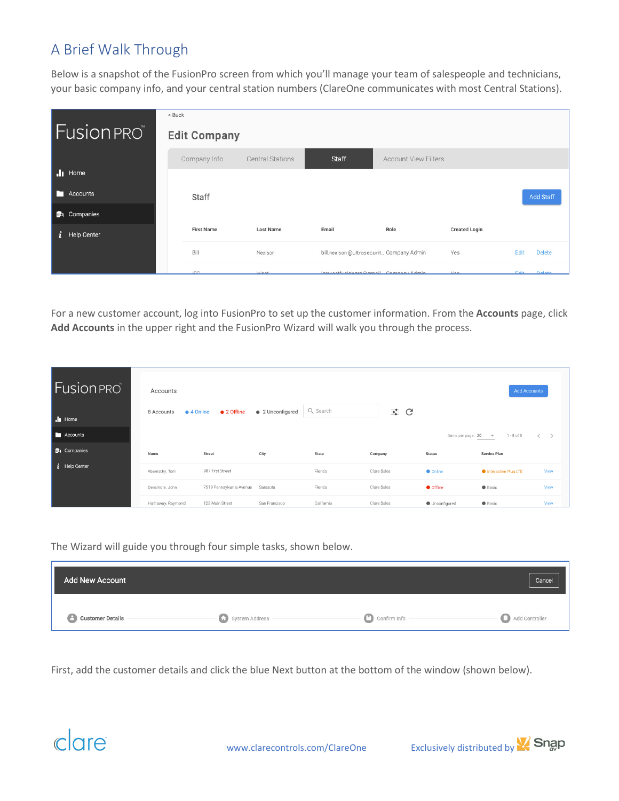#### A Brief Walk Through

Below is a snapshot of the FusionPro screen from which you'll manage your team of salespeople and technicians, your basic company info, and your central station numbers (ClareOne communicates with most Central Stations).

|    |                    | < Back              |                         |                                         |                             |                      |      |                  |
|----|--------------------|---------------------|-------------------------|-----------------------------------------|-----------------------------|----------------------|------|------------------|
|    | <b>Fusion</b> PRO  | <b>Edit Company</b> |                         |                                         |                             |                      |      |                  |
|    |                    | Company Info        | <b>Central Stations</b> | Staff                                   | <b>Account View Filters</b> |                      |      |                  |
|    | $\mathbf{I}$ Home  |                     |                         |                                         |                             |                      |      |                  |
|    | <b>N</b> Accounts  | Staff               |                         |                                         |                             |                      |      | <b>Add Staff</b> |
|    | <b>D</b> Companies |                     |                         |                                         |                             |                      |      |                  |
| j. | Help Center        | <b>First Name</b>   | Last Name               | Email                                   | Role                        | <b>Created Login</b> |      |                  |
|    |                    | Bill                | Nealson                 | bill.nealson@ultrasecurit Company Admin |                             | Yes                  | Edit | <b>Delete</b>    |
|    |                    | 10 <sup>o</sup>     | <b>Mact</b>             | jenweetfuejonnro@amail Company Admin    |                             | Voc                  | Edit | Delete           |

For a new customer account, log into FusionPro to set up the customer information. From the **Accounts** page, click **Add Accounts** in the upper right and the FusionPro Wizard will walk you through the process.

| <b>Fusion PRO</b>  | Accounts                 |                          |                  |            |             |                     | Add Accounts                               |      |
|--------------------|--------------------------|--------------------------|------------------|------------|-------------|---------------------|--------------------------------------------|------|
| I Home             | • 4 Online<br>8 Accounts | $\bullet$ 2 Offline      | • 2 Unconfigured | Q Search   | ≡ C         |                     |                                            |      |
| <b>F</b> Accounts  |                          |                          |                  |            |             | Items per page: 20  | $1 - 8$ of $8$<br>$\overline{\phantom{a}}$ |      |
| <b>D</b> Companies | Name                     | <b>Street</b>            | City             | State      | Company     | <b>Status</b>       | Service Plan                               |      |
| $i$ Help Center    | Abernathy, Tom           | 987 First Street         |                  | Florida    | Clare Sales | <b>O</b> Online     | <b>O</b> Interactive Plus LTE              | View |
|                    | Densmore, John           | 7519 Pennsylvania Avenue | Sarasota         | Florida    | Clare Sales | <b>O</b> Offline    | <b>Basic</b>                               | View |
|                    | Hathaway, Raymond        | 123 Main Street          | San Francisco    | California | Clare Sales | <b>Unconfigured</b> | <b>Basic</b>                               | View |

The Wizard will guide you through four simple tasks, shown below.

| <b>Add New Account</b>    |                |              | Cancel         |
|---------------------------|----------------|--------------|----------------|
| <b>B</b> Customer Details | System Address | Confirm Info | Add Controller |

First, add the customer details and click the blue Next button at the bottom of the window (shown below).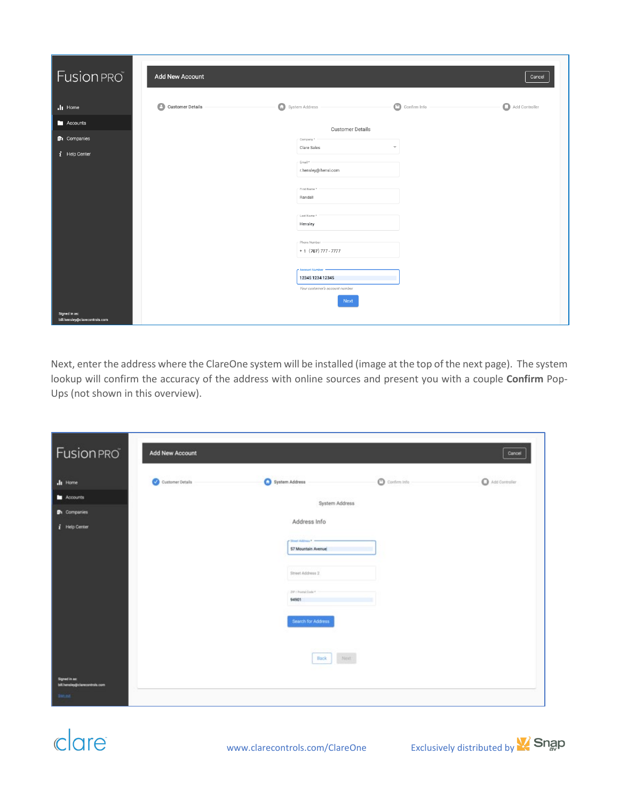| Fusion PRO                                      | Add New Account              |                                                                                                                                                              |                         | Cancel         |
|-------------------------------------------------|------------------------------|--------------------------------------------------------------------------------------------------------------------------------------------------------------|-------------------------|----------------|
| $\cdot$ II Home                                 | Θ<br><b>Customer Details</b> | System Address                                                                                                                                               | $\circ$<br>Confirm Info | Add Controller |
| Accounts                                        |                              | <b>Customer Details</b>                                                                                                                                      |                         |                |
| <b>DA</b> Companies                             |                              | Company *                                                                                                                                                    |                         |                |
| $i$ Help Center                                 |                              | Clare Sales<br>Email *<br>r.hensley@hensl.com<br>First Name<br>Randall<br>Last Name *<br>Hensley<br>Phone Number<br>$+ 1 (707) 777 - 7777$<br>Account Number | $\overline{\mathbf{v}}$ |                |
|                                                 |                              | 12345 1234 12345<br>Your customer's account number                                                                                                           |                         |                |
| Signed in as:<br>bill.hensley@clarecontrols.com |                              | Next                                                                                                                                                         |                         |                |

Next, enter the address where the ClareOne system will be installed (image at the top of the next page). The system lookup will confirm the accuracy of the address with online sources and present you with a couple **Confirm** Pop-Ups (not shown in this overview).

| <b>Fusion PRO</b>                                                | Add New Account  |                                                                                                                                 |                        | Cancel         |
|------------------------------------------------------------------|------------------|---------------------------------------------------------------------------------------------------------------------------------|------------------------|----------------|
| <b>JI</b> Home                                                   | Customer Details | System Address                                                                                                                  | $\bullet$ Confirm info | Add Controller |
| Accounts                                                         |                  | System Address                                                                                                                  |                        |                |
| <b>D</b> <sub>1</sub> Companies                                  |                  | Address Info                                                                                                                    |                        |                |
| $i$ Help Center                                                  |                  | P Street Address *<br><b>S7 Mountain Avenue</b><br>Street Address 2<br>2P / Pontal Codé +<br>94901<br><b>Search for Address</b> |                        |                |
| Signed in asc.<br>bill hensiey@clarecontrols.com<br><b>Istad</b> |                  | <b>Back</b>                                                                                                                     | Next                   |                |

### clare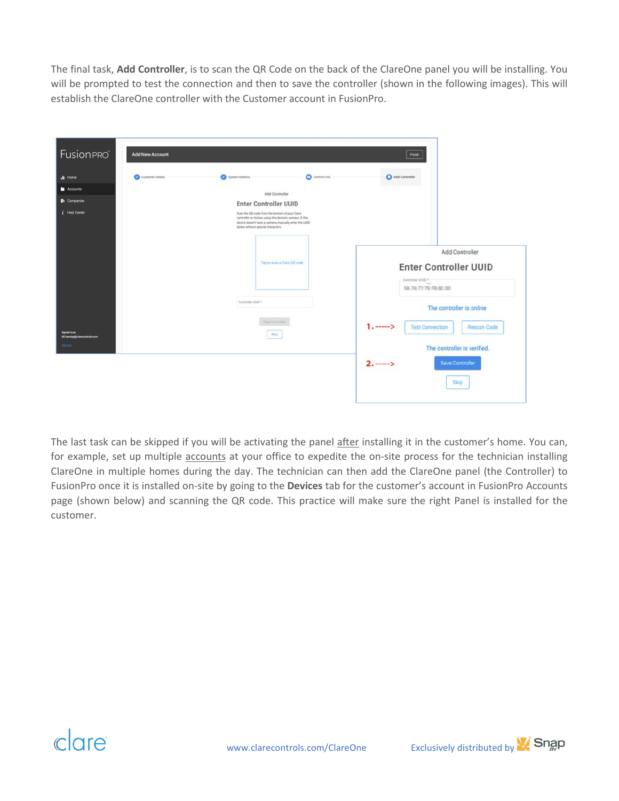The final task, **Add Controller**, is to scan the QR Code on the back of the ClareOne panel you will be installing. You will be prompted to test the connection and then to save the controller (shown in the following images). This will establish the ClareOne controller with the Customer account in FusionPro.

| <b>Fusion PRO</b>                       | <b>Add New Account</b> |                                   |                                                                                                                                                                      | Finish           |                                                                          |
|-----------------------------------------|------------------------|-----------------------------------|----------------------------------------------------------------------------------------------------------------------------------------------------------------------|------------------|--------------------------------------------------------------------------|
| .la Home                                | Customer Details       | System Address                    | <b>O</b> Confirm Info                                                                                                                                                | Add Controller   |                                                                          |
| Accounts                                |                        |                                   | Add Controller                                                                                                                                                       |                  |                                                                          |
| <b>D</b> <sub>1</sub> Companies         |                        | <b>Enter Controller UUID</b>      |                                                                                                                                                                      |                  |                                                                          |
| $i$ Help Center                         |                        | below without special characters. | Scan the QR code from the bottom of your Clare<br>controller or its box using this device's camera. If this<br>device doesn't have a camera, manually enter the UUID |                  |                                                                          |
|                                         |                        |                                   | Tap to scan a Clare QR code                                                                                                                                          | Controller UUD * | Add Controller<br><b>Enter Controller UUID</b><br>58.76:77:79:FB:82:00   |
| Signed in as:                           |                        | Controller UUID *                 | Sine Controller<br>Skip                                                                                                                                              |                  | The controller is online<br><b>Test Connection</b><br><b>Rescan Code</b> |
| bil.hensley@clarecontrols.com<br>lim.nd |                        |                                   |                                                                                                                                                                      |                  | The controller is verified.                                              |
|                                         |                        |                                   |                                                                                                                                                                      | $2. - - >$       | <b>Save Controller</b><br>Skip                                           |

The last task can be skipped if you will be activating the panel after installing it in the customer's home. You can, for example, set up multiple accounts at your office to expedite the on-site process for the technician installing ClareOne in multiple homes during the day. The technician can then add the ClareOne panel (the Controller) to FusionPro once it is installed on-site by going to the **Devices** tab for the customer's account in FusionPro Accounts page (shown below) and scanning the QR code. This practice will make sure the right Panel is installed for the customer.



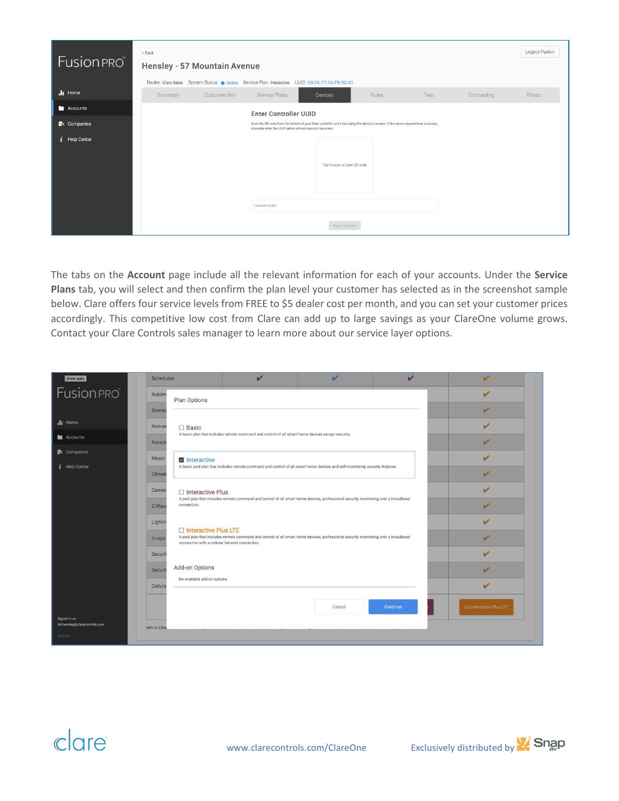| Fusion PRO         | < Back  | Hensley - 57 Mountain Avenue |                                                           |                                                                                                                                        |       |      |            | Legacy Fusion |
|--------------------|---------|------------------------------|-----------------------------------------------------------|----------------------------------------------------------------------------------------------------------------------------------------|-------|------|------------|---------------|
|                    |         |                              |                                                           | Dealer: Clare Sales System Status: Online Service Plan: Interactive UUID: 58:76:77;70.F8:82:00                                         |       |      |            |               |
| $\cdot$ Home       | Summary | Customer Info                | Service Plans                                             | Devices                                                                                                                                | Rules | Test | Onboarding | Filters       |
| Accounts           |         |                              | <b>Enter Controller UUID</b>                              |                                                                                                                                        |       |      |            |               |
| <b>n</b> Companies |         |                              | manually enter the UUID below without special characters. | Scan the QR code from the bottom of your Clare controller or its box using this device's camera. If this device doesn't have a camera, |       |      |            |               |
| $i$ Help Center    |         |                              | Controller UUID *                                         | Tap to scan a Clare QR code                                                                                                            |       |      |            |               |
|                    |         |                              |                                                           |                                                                                                                                        |       |      |            |               |
|                    |         |                              |                                                           | Save Controller                                                                                                                        |       |      |            |               |

The tabs on the **Account** page include all the relevant information for each of your accounts. Under the **Service Plans** tab, you will select and then confirm the plan level your customer has selected as in the screenshot sample below. Clare offers four service levels from FREE to \$5 dealer cost per month, and you can set your customer prices accordingly. This competitive low cost from Clare can add up to large savings as your ClareOne volume grows. Contact your Clare Controls sales manager to learn more about our service layer options.

| Show apps                                 | Schedules                              | $\overline{\mathbf{v}}$                                                                                                           | $\overline{\mathscr{L}}$                                                                                                          | $\overline{\mathbf{v}}$ | $\overline{\mathbf{v}}$ |
|-------------------------------------------|----------------------------------------|-----------------------------------------------------------------------------------------------------------------------------------|-----------------------------------------------------------------------------------------------------------------------------------|-------------------------|-------------------------|
| <b>Fusion PRO</b>                         | Autom<br>Plan Options                  |                                                                                                                                   |                                                                                                                                   |                         | V                       |
|                                           | Scenes                                 |                                                                                                                                   |                                                                                                                                   |                         | V                       |
| $\mathbf{h}$ Home                         | Non-se<br>$\Box$ Basic                 |                                                                                                                                   |                                                                                                                                   |                         | v                       |
| <b>Accounts</b>                           | Access                                 | A basic plan that includes remote command and control of all smart home devices except security.                                  |                                                                                                                                   |                         | V                       |
| <b>D</b> Companies                        | Music<br>Interactive                   |                                                                                                                                   |                                                                                                                                   |                         | ✓                       |
| $i$ Help Center                           | Climat                                 |                                                                                                                                   | A basic paid plan that includes remote command and control of all smart home devices and self-monitoring security features.       |                         | $\overline{\mathbf{v}}$ |
|                                           | Camer<br>□ Interactive Plus            |                                                                                                                                   |                                                                                                                                   |                         | $\mathbf{v}$            |
|                                           | connection.<br>Z-Wave                  | A paid plan that includes remote command and control of all smart home devices, professional security monitoring over a broadband |                                                                                                                                   |                         | V                       |
|                                           | Lightin                                |                                                                                                                                   |                                                                                                                                   |                         | $\overline{\mathbf{v}}$ |
|                                           | Interactive Plus LTE<br>In-app         | connection with a cellular fail-over connection.                                                                                  | A paid plan that includes remote command and control of all smart home devices, professional security monitoring over a broadband |                         | ✔                       |
|                                           | Securit                                |                                                                                                                                   |                                                                                                                                   |                         | ✔                       |
|                                           | Add-on Options<br>Securit              |                                                                                                                                   |                                                                                                                                   |                         | V                       |
|                                           | No available add-on options<br>Cellula |                                                                                                                                   |                                                                                                                                   |                         | $\overline{\mathbf{v}}$ |
|                                           |                                        |                                                                                                                                   |                                                                                                                                   |                         |                         |
| Signed in as:                             |                                        |                                                                                                                                   | Cancel                                                                                                                            | Continue                | Go Interactive Plus LTE |
| bill.hensley@clarecontrols.com<br>Sian on | WiFi or Ether                          |                                                                                                                                   |                                                                                                                                   |                         |                         |
|                                           |                                        |                                                                                                                                   |                                                                                                                                   |                         |                         |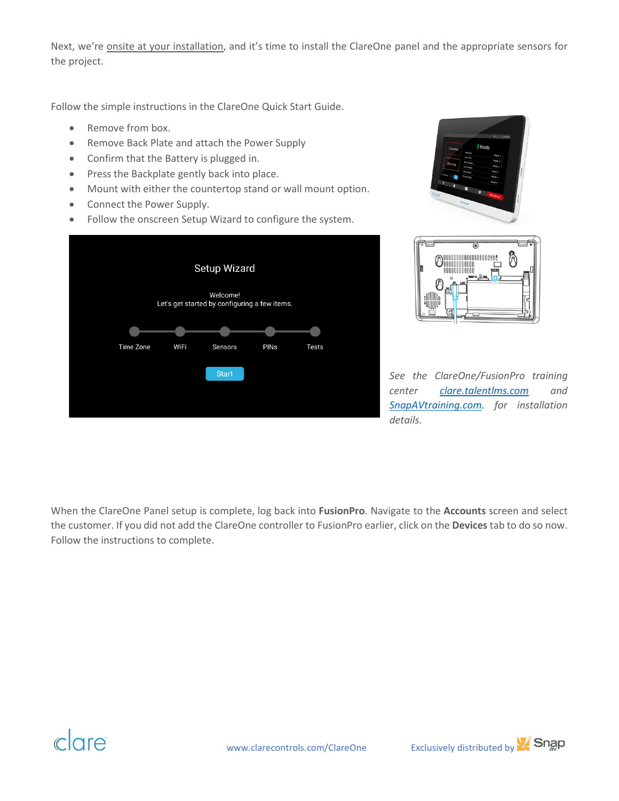Next, we're onsite at your installation, and it's time to install the ClareOne panel and the appropriate sensors for the project.

Follow the simple instructions in the ClareOne Quick Start Guide.

- Remove from box.
- Remove Back Plate and attach the Power Supply
- Confirm that the Battery is plugged in.
- Press the Backplate gently back into place.
- Mount with either the countertop stand or wall mount option.
- Connect the Power Supply.
- Follow the onscreen Setup Wizard to configure the system.







*See the ClareOne/FusionPro training center [clare.talentlms.com](https://clare.talentlms.com/) and [SnapAVtraining.com.](https://snapavtraining.com/course/default.asp?crid=11730&caid=3917) for installation details.*

When the ClareOne Panel setup is complete, log back into **FusionPro**. Navigate to the **Accounts** screen and select the customer. If you did not add the ClareOne controller to FusionPro earlier, click on the **Devices**tab to do so now. Follow the instructions to complete.

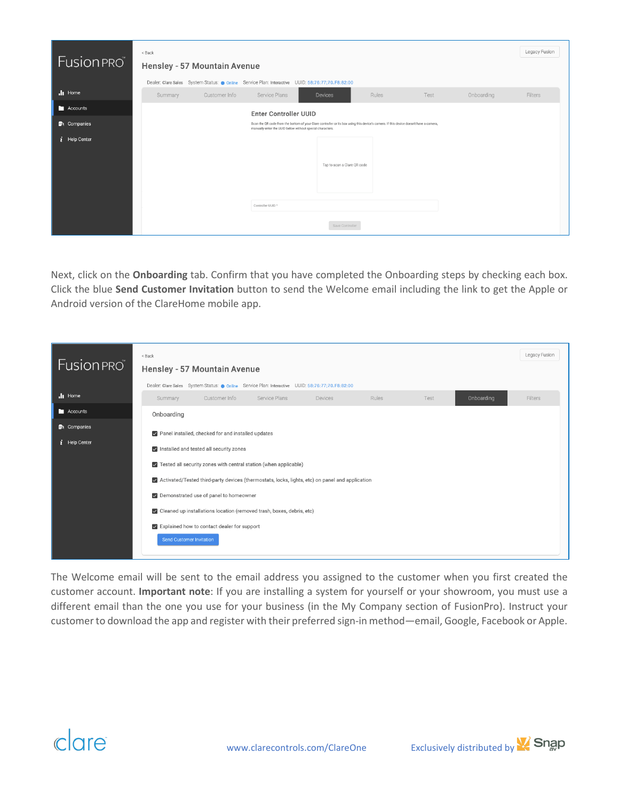| Fusion PRO                      | < Back  | Hensley - 57 Mountain Avenue |                                                           |                                                                                                                                        |       |      |            | Legacy Fusion |
|---------------------------------|---------|------------------------------|-----------------------------------------------------------|----------------------------------------------------------------------------------------------------------------------------------------|-------|------|------------|---------------|
|                                 |         |                              |                                                           | Dealer: Clare Sales System Status: Online Service Plan: Interactive UUID: 58:76:77;70.F8:82:00                                         |       |      |            |               |
| $\cdot$ Home                    | Summary | Customer Info                | Service Plans                                             | <b>Devices</b>                                                                                                                         | Rules | Test | Onboarding | Filters       |
| Accounts                        |         |                              | <b>Enter Controller UUID</b>                              |                                                                                                                                        |       |      |            |               |
| <b>D</b> <sub>t</sub> Companies |         |                              | manually enter the UUID below without special characters. | Scan the QR code from the bottom of your Clare controller or its box using this device's camera. If this device doesn't have a camera, |       |      |            |               |
| $i$ Help Center                 |         |                              | Controller UUID *                                         | Tap to scan a Clare QR code                                                                                                            |       |      |            |               |
|                                 |         |                              |                                                           |                                                                                                                                        |       |      |            |               |
|                                 |         |                              |                                                           | Save Controller                                                                                                                        |       |      |            |               |

Next, click on the **Onboarding** tab. Confirm that you have completed the Onboarding steps by checking each box. Click the blue **Send Customer Invitation** button to send the Welcome email including the link to get the Apple or Android version of the ClareHome mobile app.

| <b>Fusion PRO</b>                     | $<$ Back<br>Hensley - 57 Mountain Avenue                                                                                                                                                                                                                                                                                                                                                                                                                                                                    |                             | Legacy Fusion |
|---------------------------------------|-------------------------------------------------------------------------------------------------------------------------------------------------------------------------------------------------------------------------------------------------------------------------------------------------------------------------------------------------------------------------------------------------------------------------------------------------------------------------------------------------------------|-----------------------------|---------------|
|                                       | Dealer: Clare Sales System Status: Online Service Plan: Interactive UUID: 58:76:77;70.F8:82:00                                                                                                                                                                                                                                                                                                                                                                                                              |                             |               |
| $\cdot$ li Home                       | Customer Info<br>Service Plans<br>Summary<br><b>Devices</b>                                                                                                                                                                                                                                                                                                                                                                                                                                                 | Onboarding<br>Rules<br>Test | Filters       |
| Accounts                              | Onboarding                                                                                                                                                                                                                                                                                                                                                                                                                                                                                                  |                             |               |
| <b>D</b> Companies<br>$i$ Help Center | Panel installed, checked for and installed updates<br>Installed and tested all security zones<br>$\triangledown$ Tested all security zones with central station (when applicable)<br>$\triangledown$ Activated/Tested third-party devices (thermostats, locks, lights, etc) on panel and application<br>Demonstrated use of panel to homeowner<br>✓ Cleaned up installations location (removed trash, boxes, debris, etc)<br>Explained how to contact dealer for support<br><b>Send Customer Invitation</b> |                             |               |

The Welcome email will be sent to the email address you assigned to the customer when you first created the customer account. **Important note**: If you are installing a system for yourself or your showroom, you must use a different email than the one you use for your business (in the My Company section of FusionPro). Instruct your customer to download the app and register with their preferred sign-in method—email, Google, Facebook or Apple.

## $clare$